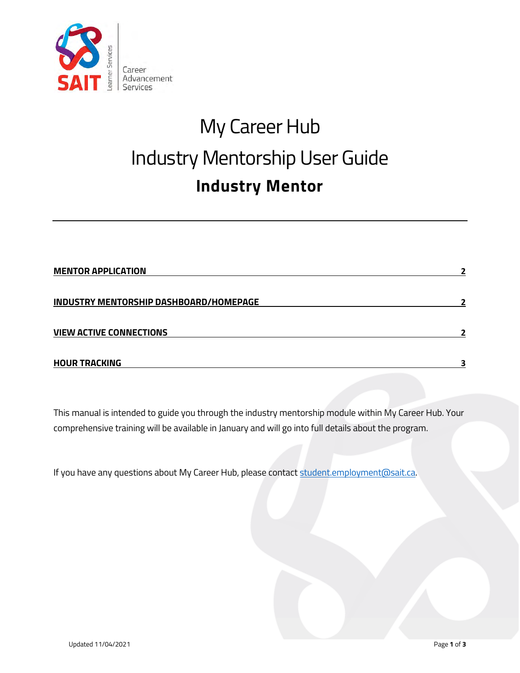

# My Career Hub Industry Mentorship User Guide **Industry Mentor**

| <b>MENTOR APPLICATION</b>              |  |
|----------------------------------------|--|
| INDUSTRY MENTORSHIP DASHBOARD/HOMEPAGE |  |
| <b>VIEW ACTIVE CONNECTIONS</b>         |  |
| <b>HOUR TRACKING</b>                   |  |

This manual is intended to guide you through the industry mentorship module within My Career Hub. Your comprehensive training will be available in January and will go into full details about the program.

If you have any questions about My Career Hub, please contact [student.employment@sait.ca.](mailto:student.employment@sait.ca?subject=My%20Career%20Hub%20help%20-%20industry%20mentorship)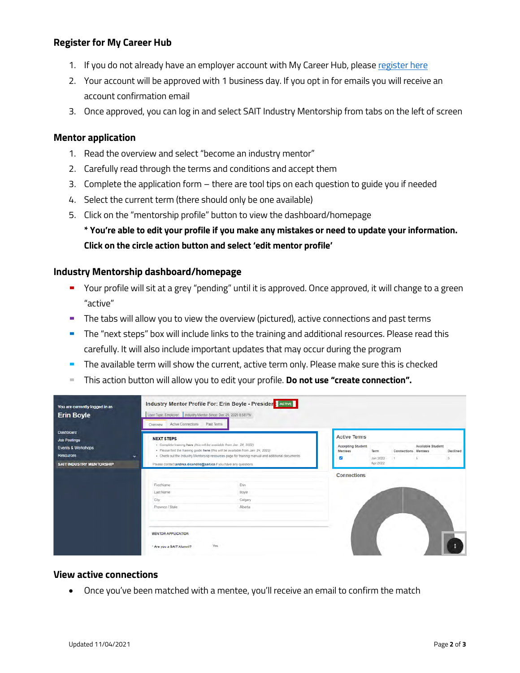## **Register for My Career Hub**

- 1. If you do not already have an employer account with My Career Hub, pleas[e register here](https://mycareerhub.sait.ca/employers/employer.htm)
- 2. Your account will be approved with 1 business day. If you opt in for emails you will receive an account confirmation email
- 3. Once approved, you can log in and select SAIT Industry Mentorship from tabs on the left of screen

#### <span id="page-1-0"></span>**Mentor application**

- 1. Read the overview and select "become an industry mentor"
- 2. Carefully read through the terms and conditions and accept them
- 3. Complete the application form there are tool tips on each question to guide you if needed
- 4. Select the current term (there should only be one available)
- 5. Click on the "mentorship profile" button to view the dashboard/homepage

**\* You're able to edit your profile if you make any mistakes or need to update your information. Click on the circle action button and select 'edit mentor profile'**

### <span id="page-1-1"></span>**Industry Mentorship dashboard/homepage**

- Your profile will sit at a grey "pending" until it is approved. Once approved, it will change to a green "active"
- The tabs will allow you to view the overview (pictured), active connections and past terms
- **The "next steps" box will include links to the training and additional resources. Please read this** carefully. It will also include important updates that may occur during the program
- The available term will show the current, active term only. Please make sure this is checked
- This action button will allow you to edit your profile. **Do not use "create connection".**

| You are currently logged in as<br><b>Erin Boyle</b>                                                                  | Industry Mentor Profile For: Erin Boyle - President AGTIVE<br>User Type: Employer Industry Mentor Since: Dec 20, 2020 8:58 PM<br>Active Connections<br>Past Terms<br>Overview |                                                                                                                                                                                                                                                             |                    |                                |                     |                   |          |  |
|----------------------------------------------------------------------------------------------------------------------|-------------------------------------------------------------------------------------------------------------------------------------------------------------------------------|-------------------------------------------------------------------------------------------------------------------------------------------------------------------------------------------------------------------------------------------------------------|--------------------|--------------------------------|---------------------|-------------------|----------|--|
| <b>Dashboard</b><br><b>Job Postings</b><br>Events & Workshops<br><b>Resources</b><br><b>SAIT INDUSTRY MENTORSHIP</b> | <b>NEXT STEPS</b><br>$\ddot{}$<br>Please contact andrea.dicandilo@sait.ca if you have any questions.                                                                          | · Complete training here (this will be available from Jan 24, 2022)<br>· Please find the training guide here (this will be available from Jan. 24, 2022)<br>· Check out the Industry Mentorship resources page for training manual and additional documents |                    | Term<br>Jan 2022 -<br>Apr 2022 | Connections Mentees | Available Student | Declined |  |
|                                                                                                                      |                                                                                                                                                                               |                                                                                                                                                                                                                                                             | <b>Connections</b> |                                |                     |                   |          |  |
|                                                                                                                      | First Name                                                                                                                                                                    | Erin                                                                                                                                                                                                                                                        |                    |                                |                     |                   |          |  |
|                                                                                                                      | Last Name                                                                                                                                                                     | Boyle                                                                                                                                                                                                                                                       |                    |                                |                     |                   |          |  |
|                                                                                                                      | City                                                                                                                                                                          | Calgary                                                                                                                                                                                                                                                     |                    |                                |                     |                   |          |  |
|                                                                                                                      | Province / State                                                                                                                                                              | Alberta                                                                                                                                                                                                                                                     |                    |                                |                     |                   |          |  |
|                                                                                                                      | <b>MENTOR APPLICATION</b><br>" Are you a SAIT Alumni?                                                                                                                         | Yes                                                                                                                                                                                                                                                         |                    |                                |                     |                   |          |  |

### <span id="page-1-2"></span>**View active connections**

• Once you've been matched with a mentee, you'll receive an email to confirm the match